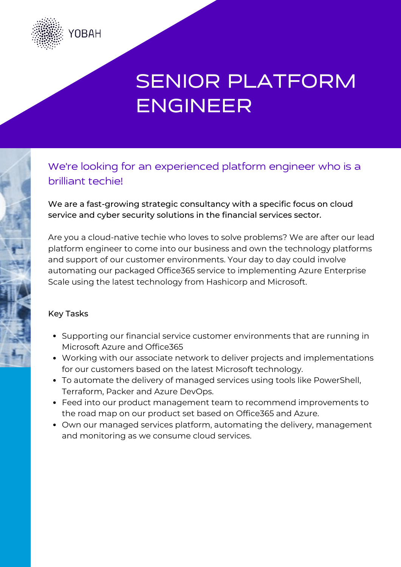

# SENIOR PLATFORM ENGINEER

### We're looking for an experienced platform engineer who is a brilliant techie!

We are a fast-growing strategic consultancy with a specific focus on cloud service and cyber security solutions in the financial services sector.

Are you a cloud-native techie who loves to solve problems? We are after our lead platform engineer to come into our business and own the technology platforms and support of our customer environments. Your day to day could involve automating our packaged Office365 service to implementing Azure Enterprise Scale using the latest technology from Hashicorp and Microsoft.

### Key Tasks

- Supporting our financial service customer environments that are running in Microsoft Azure and Office365
- Working with our associate network to deliver projects and implementations for our customers based on the latest Microsoft technology.
- To automate the delivery of managed services using tools like PowerShell, Terraform, Packer and Azure DevOps.
- Feed into our product management team to recommend improvements to the road map on our product set based on Office365 and Azure.
- Own our managed services platform, automating the delivery, management and monitoring as we consume cloud services.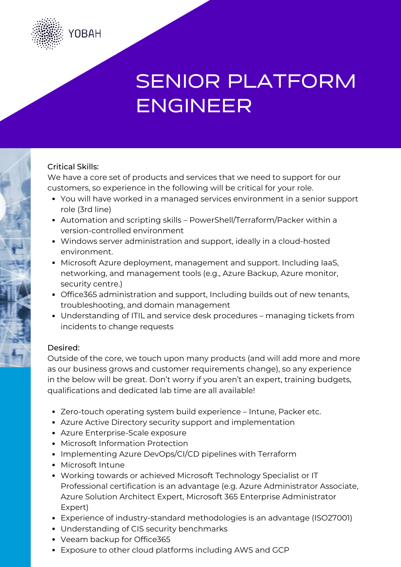

# SENIOR PLATFORM ENGINEER

### Critical Skills:

We have a core set of products and services that we need to support for our customers, so experience in the following will be critical for your role.

- You will have worked in a managed services environment in a senior support role (3rd line)
- Automation and scripting skills PowerShell/Terraform/Packer within a version-controlled environment
- Windows server administration and support, ideally in a cloud-hosted environment.
- Microsoft Azure deployment, management and support. Including IaaS, networking, and management tools (e.g., Azure Backup, Azure monitor, security centre.)
- Office365 administration and support, Including builds out of new tenants, troubleshooting, and domain management
- Understanding of ITIL and service desk procedures managing tickets from incidents to change requests

#### Desired:

Outside of the core, we touch upon many products (and will add more and more as our business grows and customer requirements change), so any experience in the below will be great. Don't worry if you aren't an expert, training budgets, qualifications and dedicated lab time are all available!

- Zero-touch operating system build experience Intune, Packer etc.
- Azure Active Directory security support and implementation
- Azure Enterprise-Scale exposure
- Microsoft Information Protection
- Implementing Azure DevOps/CI/CD pipelines with Terraform
- Microsoft Intune
- Working towards or achieved Microsoft Technology Specialist or IT Professional certification is an advantage (e.g. Azure Administrator Associate, Azure Solution Architect Expert, Microsoft 365 Enterprise Administrator Expert)
- Experience of industry-standard methodologies is an advantage (ISO27001)
- Understanding of CIS security benchmarks
- Veeam backup for Office365
- Exposure to other cloud platforms including AWS and GCP